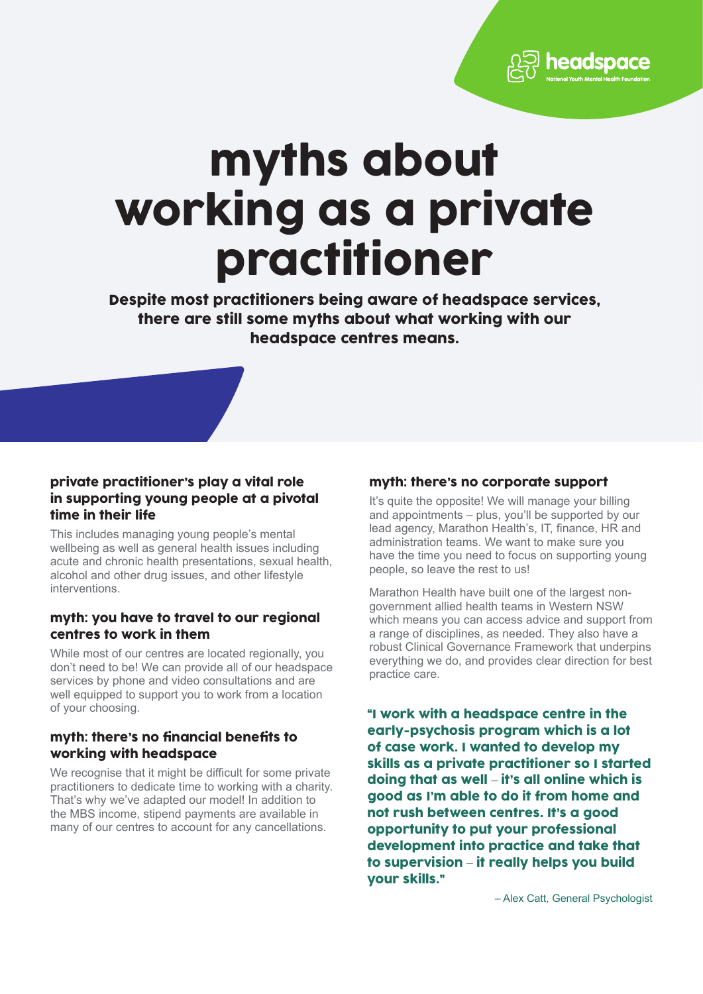eadsp

# myths about working as a private practitioner

Despite most practitioners being aware of headspace services, there are still some myths about what working with our headspace centres means.

## private practitioner's play a vital role in supporting young people at a pivotal time in their life

This includes managing young people's mental wellbeing as well as general health issues including acute and chronic health presentations, sexual health, alcohol and other drug issues, and other lifestyle interventions.

## myth: you have to travel to our regional centres to work in them

While most of our centres are located regionally, you don't need to be! We can provide all of our headspace services by phone and video consultations and are well equipped to support you to work from a location of your choosing.

## myth: there's no financial benefits to working with headspace

We recognise that it might be difficult for some private practitioners to dedicate time to working with a charity. That's why we've adapted our model! In addition to the MBS income, stipend payments are available in many of our centres to account for any cancellations.

# myth: there's no corporate support

It's quite the opposite! We will manage your billing and appointments – plus, you'll be supported by our lead agency, Marathon Health's, IT, finance, HR and administration teams. We want to make sure you have the time you need to focus on supporting young people, so leave the rest to us!

Marathon Health have built one of the largest nongovernment allied health teams in Western NSW which means you can access advice and support from a range of disciplines, as needed. They also have a robust Clinical Governance Framework that underpins everything we do, and provides clear direction for best practice care.

"I work with a headspace centre in the early-psychosis program which is a lot of case work. I wanted to develop my skills as a private practitioner so I started doing that as well – it's all online which is good as I'm able to do it from home and not rush between centres. It's a good opportunity to put your professional development into practice and take that to supervision – it really helps you build your skills."